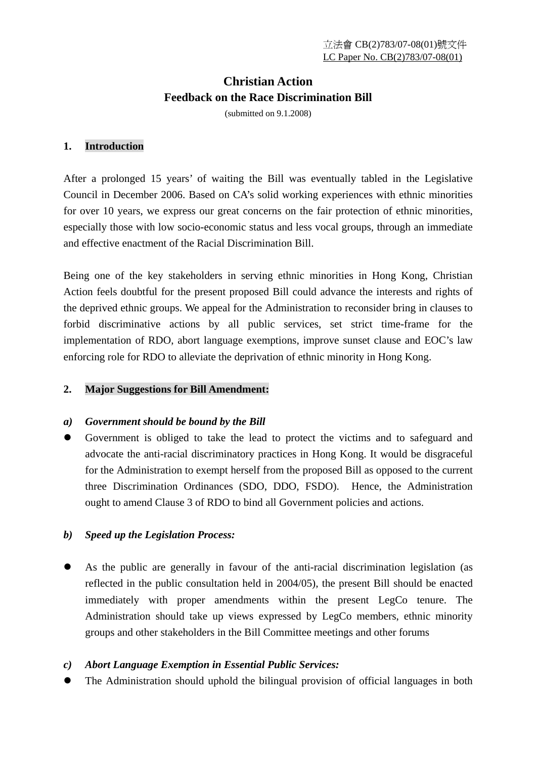# **Christian Action Feedback on the Race Discrimination Bill**

(submitted on 9.1.2008)

## **1. Introduction**

After a prolonged 15 years' of waiting the Bill was eventually tabled in the Legislative Council in December 2006. Based on CA's solid working experiences with ethnic minorities for over 10 years, we express our great concerns on the fair protection of ethnic minorities, especially those with low socio-economic status and less vocal groups, through an immediate and effective enactment of the Racial Discrimination Bill.

Being one of the key stakeholders in serving ethnic minorities in Hong Kong, Christian Action feels doubtful for the present proposed Bill could advance the interests and rights of the deprived ethnic groups. We appeal for the Administration to reconsider bring in clauses to forbid discriminative actions by all public services, set strict time-frame for the implementation of RDO, abort language exemptions, improve sunset clause and EOC's law enforcing role for RDO to alleviate the deprivation of ethnic minority in Hong Kong.

## **2. Major Suggestions for Bill Amendment:**

## *a) Government should be bound by the Bill*

Government is obliged to take the lead to protect the victims and to safeguard and advocate the anti-racial discriminatory practices in Hong Kong. It would be disgraceful for the Administration to exempt herself from the proposed Bill as opposed to the current three Discrimination Ordinances (SDO, DDO, FSDO). Hence, the Administration ought to amend Clause 3 of RDO to bind all Government policies and actions.

## *b) Speed up the Legislation Process:*

As the public are generally in favour of the anti-racial discrimination legislation (as reflected in the public consultation held in 2004/05), the present Bill should be enacted immediately with proper amendments within the present LegCo tenure. The Administration should take up views expressed by LegCo members, ethnic minority groups and other stakeholders in the Bill Committee meetings and other forums

## *c) Abort Language Exemption in Essential Public Services:*

The Administration should uphold the bilingual provision of official languages in both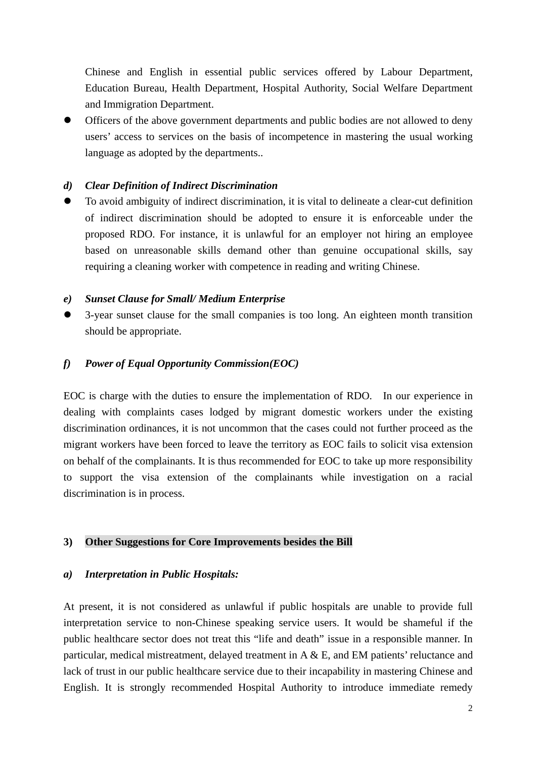Chinese and English in essential public services offered by Labour Department, Education Bureau, Health Department, Hospital Authority, Social Welfare Department and Immigration Department.

Officers of the above government departments and public bodies are not allowed to deny users' access to services on the basis of incompetence in mastering the usual working language as adopted by the departments..

#### *d) Clear Definition of Indirect Discrimination*

• To avoid ambiguity of indirect discrimination, it is vital to delineate a clear-cut definition of indirect discrimination should be adopted to ensure it is enforceable under the proposed RDO. For instance, it is unlawful for an employer not hiring an employee based on unreasonable skills demand other than genuine occupational skills, say requiring a cleaning worker with competence in reading and writing Chinese.

#### *e) Sunset Clause for Small/ Medium Enterprise*

3-year sunset clause for the small companies is too long. An eighteen month transition should be appropriate.

### *f) Power of Equal Opportunity Commission(EOC)*

EOC is charge with the duties to ensure the implementation of RDO. In our experience in dealing with complaints cases lodged by migrant domestic workers under the existing discrimination ordinances, it is not uncommon that the cases could not further proceed as the migrant workers have been forced to leave the territory as EOC fails to solicit visa extension on behalf of the complainants. It is thus recommended for EOC to take up more responsibility to support the visa extension of the complainants while investigation on a racial discrimination is in process.

#### **3) Other Suggestions for Core Improvements besides the Bill**

#### *a) Interpretation in Public Hospitals:*

At present, it is not considered as unlawful if public hospitals are unable to provide full interpretation service to non-Chinese speaking service users. It would be shameful if the public healthcare sector does not treat this "life and death" issue in a responsible manner. In particular, medical mistreatment, delayed treatment in A & E, and EM patients' reluctance and lack of trust in our public healthcare service due to their incapability in mastering Chinese and English. It is strongly recommended Hospital Authority to introduce immediate remedy